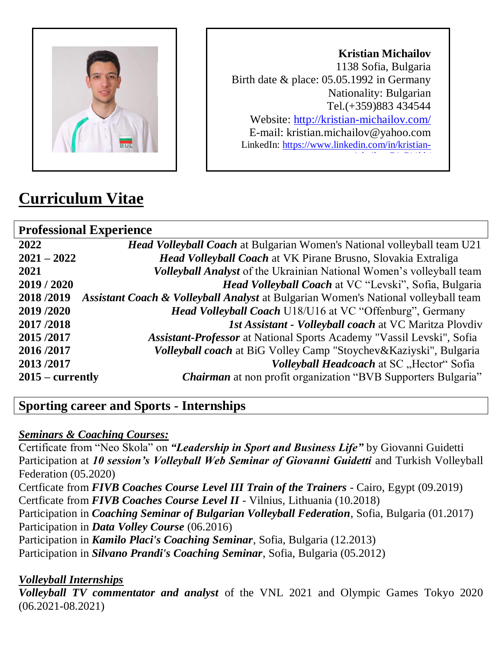

**Kristian Michailov** 1138 Sofia, Bulgaria Birth date & place: 05.05.1992 in Germany Nationality: Bulgarian Tel.(+359)883 434544 Website:<http://kristian-michailov.com/> E-mail: kristian.michailov@yahoo.com LinkedIn: [https://www.linkedin.com/in/kristian](https://www.linkedin.com/in/kristian-michailov-74a711bb/)[michailov-74a711bb/](https://www.linkedin.com/in/kristian-michailov-74a711bb/)<br>1

# **Curriculum Vitae**

| <b>Professional Experience</b> |                                                                                    |
|--------------------------------|------------------------------------------------------------------------------------|
| 2022                           | <b>Head Volleyball Coach</b> at Bulgarian Women's National volleyball team U21     |
| $2021 - 2022$                  | <b>Head Volleyball Coach</b> at VK Pirane Brusno, Slovakia Extraliga               |
| 2021                           | <b>Volleyball Analyst</b> of the Ukrainian National Women's volleyball team        |
| 2019/2020                      | Head Volleyball Coach at VC "Levski", Sofia, Bulgaria                              |
| 2018/2019                      | Assistant Coach & Volleyball Analyst at Bulgarian Women's National volleyball team |
| 2019/2020                      | Head Volleyball Coach U18/U16 at VC "Offenburg", Germany                           |
| 2017/2018                      | <i>Ist Assistant - Volleyball coach at VC Maritza Plovdiv</i>                      |
| 2015/2017                      | Assistant-Professor at National Sports Academy "Vassil Levski", Sofia              |
| 2016/2017                      | Volleyball coach at BiG Volley Camp "Stoychev&Kaziyski", Bulgaria                  |
| 2013/2017                      | <i>Volleyball Headcoach</i> at SC "Hector" Sofia                                   |
| $2015$ – currently             | <i>Chairman</i> at non profit organization "BVB Supporters Bulgaria"               |
|                                |                                                                                    |

# **Sporting career and Sports - Internships**

## *Seminars & Coaching Courses:*

Certificate from "Neo Skola" on *"Leadership in Sport and Business Life"* by Giovanni Guidetti Participation at *10 session's Volleyball Web Seminar of Giovanni Guidetti* and Turkish Volleyball Federation (05.2020) Certficate from *FIVB Coaches Course Level III Train of the Trainers* - Cairo, Egypt (09.2019) Certficate from *FIVB Coaches Course Level II* - Vilnius, Lithuania (10.2018) Participation in *Coaching Seminar of Bulgarian Volleyball Federation*, Sofia, Bulgaria (01.2017) Participation in *Data Volley Course* (06.2016) Participation in *Kamilo Placi's Coaching Seminar*, Sofia, Bulgaria (12.2013) Participation in *Silvano Prandi's Coaching Seminar*, Sofia, Bulgaria (05.2012)

## *Volleyball Internships*

*Volleyball TV commentator and analyst* of the VNL 2021 and Olympic Games Tokyo 2020 (06.2021-08.2021)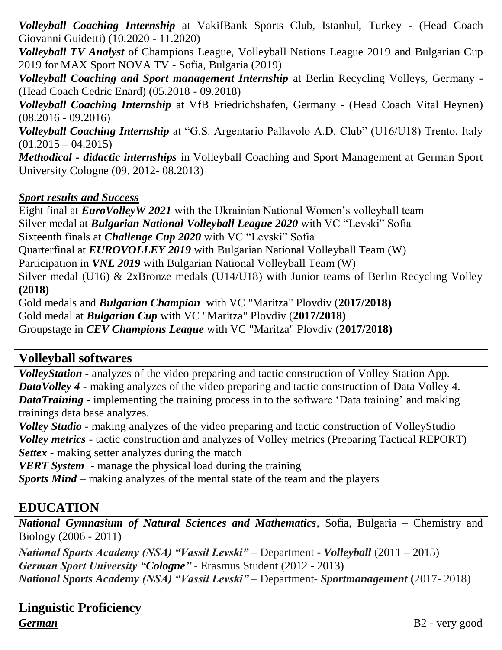*Volleyball Coaching Internship* at VakifBank Sports Club, Istanbul, Turkey - (Head Coach Giovanni Guidetti) (10.2020 - 11.2020)

*Volleyball TV Analyst* of Champions League, Volleyball Nations League 2019 and Bulgarian Cup 2019 for MAX Sport NOVA TV - Sofia, Bulgaria (2019)

*Volleyball Coaching and Sport management Internship* at Berlin Recycling Volleys, Germany - (Head Coach Cedric Enard) (05.2018 - 09.2018)

*Volleyball Coaching Internship* at VfB Friedrichshafen, Germany - (Head Coach Vital Heynen) (08.2016 - 09.2016)

*Volleyball Coaching Internship* at "G.S. Argentario Pallavolo A.D. Club" (U16/U18) Trento, Italy  $(01.2015 - 04.2015)$ 

*Methodical - didactic internships* in Volleyball Coaching and Sport Management at German Sport University Cologne (09. 2012- 08.2013)

#### *Sport results and Success*

Eight final at *EuroVolleyW 2021* with the Ukrainian National Women's volleyball team Silver medal at *Bulgarian National Volleyball League 2020* with VC "Levski" Sofia Sixteenth finals at *Challenge Cup 2020* with VC "Levski" Sofia Quarterfinal at *EUROVOLLEY 2019* with Bulgarian National Volleyball Team (W) Participation in *VNL 2019* with Bulgarian National Volleyball Team (W) Silver medal (U16) & 2xBronze medals (U14/U18) with Junior teams of Berlin Recycling Volley **(2018)**

Gold medals and *Bulgarian Champion* with VC "Maritza" Plovdiv (**2017/2018)** Gold medal at *Bulgarian Cup* with VC "Maritza" Plovdiv (**2017/2018)** Groupstage in *CEV Champions League* with VC "Maritza" Plovdiv (**2017/2018)**

# **Volleyball softwares**

*VolleyStation -* analyzes of the video preparing and tactic construction of Volley Station App. *DataVolley 4 -* making analyzes of the video preparing and tactic construction of Data Volley 4. *DataTraining -* implementing the training process in to the software 'Data training' and making trainings data base analyzes.

*Volley Studio -* making analyzes of the video preparing and tactic construction of VolleyStudio *Volley metrics -* tactic construction and analyzes of Volley metrics (Preparing Tactical REPORT) *Settex -* making setter analyzes during the match

*VERT System -* manage the physical load during the training

*Sports Mind* – making analyzes of the mental state of the team and the players

# **EDUCATION**

*National Gymnasium of Natural Sciences and Mathematics*, Sofia, Bulgaria – Chemistry and Biology (2006 - 2011)

*National Sports Academy (NSA) "Vassil Levski"* – Department - *Volleyball* (2011 – 2015) *German Sport University "Cologne"* - Erasmus Student (2012 - 2013) *National Sports Academy (NSA) "Vassil Levski"* – Department- *Sportmanagement* **(**2017- 2018)

**Linguistic Proficiency** *German*B2 - very good